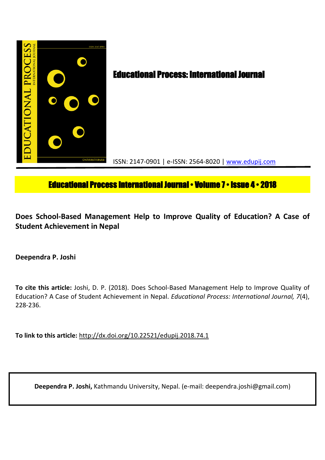

# **Educational Process International Journal • Volume 7 • Issue 4 • 2018**

**Does School-Based Management Help to Improve Quality of Education? A Case of Student Achievement in Nepal**

**Deependra P. Joshi** 

**To cite this article:** Joshi, D. P. (2018). Does School-Based Management Help to Improve Quality of Education? A Case of Student Achievement in Nepal. *Educational Process: International Journal, 7*(4), 228-236.

**To link to this article:** http://dx.doi.org/10.22521/edupij.2018.74.1

**Deependra P. Joshi,** Kathmandu University, Nepal. (e-mail: deependra.joshi@gmail.com)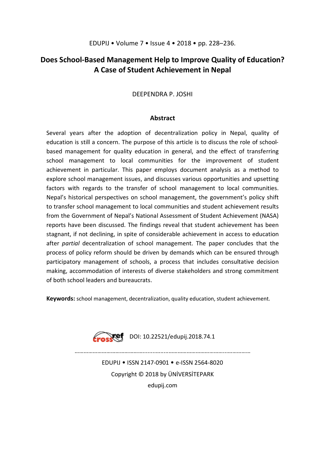## **Does School-Based Management Help to Improve Quality of Education? A Case of Student Achievement in Nepal**

## DEEPENDRA P. JOSHI

## **Abstract**

Several years after the adoption of decentralization policy in Nepal, quality of education is still a concern. The purpose of this article is to discuss the role of schoolbased management for quality education in general, and the effect of transferring school management to local communities for the improvement of student achievement in particular. This paper employs document analysis as a method to explore school management issues, and discusses various opportunities and upsetting factors with regards to the transfer of school management to local communities. Nepal's historical perspectives on school management, the government's policy shift to transfer school management to local communities and student achievement results from the Government of Nepal's National Assessment of Student Achievement (NASA) reports have been discussed. The findings reveal that student achievement has been stagnant, if not declining, in spite of considerable achievement in access to education after *partial* decentralization of school management. The paper concludes that the process of policy reform should be driven by demands which can be ensured through participatory management of schools, a process that includes consultative decision making, accommodation of interests of diverse stakeholders and strong commitment of both school leaders and bureaucrats.

**Keywords:** school management, decentralization, quality education, student achievement.



Fraskef DOI: 10.22521/edupij.2018.74.1

EDUPIJ • ISSN 2147-0901 • e-ISSN 2564-8020 Copyright © 2018 by ÜNİVERSİTEPARK edupij.com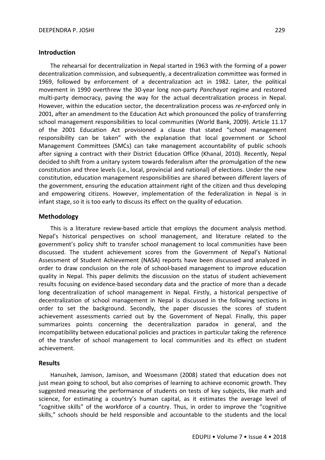#### **Introduction**

The rehearsal for decentralization in Nepal started in 1963 with the forming of a power decentralization commission, and subsequently, a decentralization committee was formed in 1969, followed by enforcement of a decentralization act in 1982. Later, the political movement in 1990 overthrew the 30-year long non-party *Panchayat* regime and restored multi-party democracy, paving the way for the actual decentralization process in Nepal. However, within the education sector, the decentralization process was *re-enforced* only in 2001, after an amendment to the Education Act which pronounced the policy of transferring school management responsibilities to local communities (World Bank, 2009). Article 11.17 of the 2001 Education Act provisioned a clause that stated "school management responsibility can be taken" with the explanation that local government or School Management Committees (SMCs) can take management accountability of public schools after signing a contract with their District Education Office (Khanal, 2010). Recently, Nepal decided to shift from a unitary system towards federalism after the promulgation of the new constitution and three levels (i.e., local, provincial and national) of elections. Under the new constitution, education management responsibilities are shared between different layers of the government, ensuring the education attainment right of the citizen and thus developing and empowering citizens. However, implementation of the federalization in Nepal is in infant stage, so it is too early to discuss its effect on the quality of education.

#### **Methodology**

This is a literature review-based article that employs the document analysis method. Nepal's historical perspectives on school management, and literature related to the government's policy shift to transfer school management to local communities have been discussed. The student achievement scores from the Government of Nepal's National Assessment of Student Achievement (NASA) reports have been discussed and analyzed in order to draw conclusion on the role of school-based management to improve education quality in Nepal. This paper delimits the discussion on the status of student achievement results focusing on evidence-based secondary data and the practice of more than a decade long decentralization of school management in Nepal. Firstly, a historical perspective of decentralization of school management in Nepal is discussed in the following sections in order to set the background. Secondly, the paper discusses the scores of student achievement assessments carried out by the Government of Nepal. Finally, this paper summarizes points concerning the decentralization paradox in general, and the incompatibility between educational policies and practices in particular taking the reference of the transfer of school management to local communities and its effect on student achievement.

#### **Results**

Hanushek, Jamison, Jamison, and Woessmann (2008) stated that education does not just mean going to school, but also comprises of learning to achieve economic growth. They suggested measuring the performance of students on tests of key subjects, like math and science, for estimating a country's human capital, as it estimates the average level of "cognitive skills" of the workforce of a country. Thus, in order to improve the "cognitive skills," schools should be held responsible and accountable to the students and the local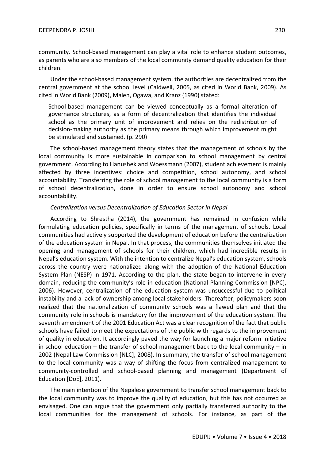community. School-based management can play a vital role to enhance student outcomes, as parents who are also members of the local community demand quality education for their children.

Under the school-based management system, the authorities are decentralized from the central government at the school level (Caldwell, 2005, as cited in World Bank, 2009). As cited in World Bank (2009), Malen, Ogawa, and Kranz (1990) stated:

School-based management can be viewed conceptually as a formal alteration of governance structures, as a form of decentralization that identifies the individual school as the primary unit of improvement and relies on the redistribution of decision-making authority as the primary means through which improvement might be stimulated and sustained. (p. 290)

The school-based management theory states that the management of schools by the local community is more sustainable in comparison to school management by central government. According to Hanushek and Woessmann (2007), student achievement is mainly affected by three incentives: choice and competition, school autonomy, and school accountability. Transferring the role of school management to the local community is a form of school decentralization, done in order to ensure school autonomy and school accountability.

## *Centralization versus Decentralization of Education Sector in Nepal*

According to Shrestha (2014), the government has remained in confusion while formulating education policies, specifically in terms of the management of schools. Local communities had actively supported the development of education before the centralization of the education system in Nepal. In that process, the communities themselves initiated the opening and management of schools for their children, which had incredible results in Nepal's education system. With the intention to centralize Nepal's education system, schools across the country were nationalized along with the adoption of the National Education System Plan (NESP) in 1971. According to the plan, the state began to intervene in every domain, reducing the community's role in education (National Planning Commission [NPC], 2006). However, centralization of the education system was unsuccessful due to political instability and a lack of ownership among local stakeholders. Thereafter, policymakers soon realized that the nationalization of community schools was a flawed plan and that the community role in schools is mandatory for the improvement of the education system. The seventh amendment of the 2001 Education Act was a clear recognition of the fact that public schools have failed to meet the expectations of the public with regards to the improvement of quality in education. It accordingly paved the way for launching a major reform initiative in school education  $-$  the transfer of school management back to the local community  $-$  in 2002 (Nepal Law Commission [NLC], 2008). In summary, the transfer of school management to the local community was a way of shifting the focus from centralized management to community-controlled and school-based planning and management (Department of Education [DoE], 2011).

The main intention of the Nepalese government to transfer school management back to the local community was to improve the quality of education, but this has not occurred as envisaged. One can argue that the government only partially transferred authority to the local communities for the management of schools. For instance, as part of the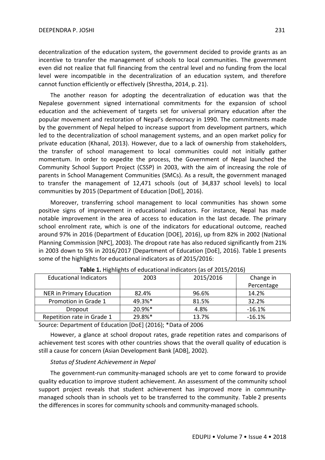decentralization of the education system, the government decided to provide grants as an incentive to transfer the management of schools to local communities. The government even did not realize that full financing from the central level and no funding from the local level were incompatible in the decentralization of an education system, and therefore cannot function efficiently or effectively (Shrestha, 2014, p. 21).

The another reason for adopting the decentralization of education was that the Nepalese government signed international commitments for the expansion of school education and the achievement of targets set for universal primary education after the popular movement and restoration of Nepal's democracy in 1990. The commitments made by the government of Nepal helped to increase support from development partners, which led to the decentralization of school management systems, and an open market policy for private education (Khanal, 2013). However, due to a lack of ownership from stakeholders, the transfer of school management to local communities could not initially gather momentum. In order to expedite the process, the Government of Nepal launched the Community School Support Project (CSSP) in 2003, with the aim of increasing the role of parents in School Management Communities (SMCs). As a result, the government managed to transfer the management of 12,471 schools (out of 34,837 school levels) to local communities by 2015 (Department of Education [DoE], 2016).

Moreover, transferring school management to local communities has shown some positive signs of improvement in educational indicators. For instance, Nepal has made notable improvement in the area of access to education in the last decade. The primary school enrolment rate, which is one of the indicators for educational outcome, reached around 97% in 2016 (Department of Education [DOE], 2016), up from 82% in 2002 (National Planning Commission [NPC], 2003). The dropout rate has also reduced significantly from 21% in 2003 down to 5% in 2016/2017 (Department of Education [DoE], 2016). Table 1 presents some of the highlights for educational indicators as of 2015/2016:

| <b>Educational Indicators</b> | 2003   | 2015/2016 | Change in  |
|-------------------------------|--------|-----------|------------|
|                               |        |           | Percentage |
| NER in Primary Education      | 82.4%  | 96.6%     | 14.2%      |
| Promotion in Grade 1          | 49.3%* | 81.5%     | 32.2%      |
| Dropout                       | 20.9%* | 4.8%      | $-16.1%$   |
| Repetition rate in Grade 1    | 29.8%* | 13.7%     | $-16.1%$   |

**Table 1.** Highlights of educational indicators (as of 2015/2016)

Source: Department of Education [DoE] (2016); \*Data of 2006

However, a glance at school dropout rates, grade repetition rates and comparisons of achievement test scores with other countries shows that the overall quality of education is still a cause for concern (Asian Development Bank [ADB], 2002).

## *Status of Student Achievement in Nepal*

The government-run community-managed schools are yet to come forward to provide quality education to improve student achievement. An assessment of the community school support project reveals that student achievement has improved more in communitymanaged schools than in schools yet to be transferred to the community. Table 2 presents the differences in scores for community schools and community-managed schools.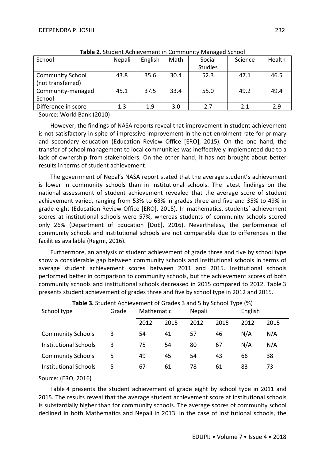| <b>Table L.</b> Staacht Athlet chicht in Commanty Managea School |        |         |      |                |         |        |
|------------------------------------------------------------------|--------|---------|------|----------------|---------|--------|
| School                                                           | Nepali | English | Math | Social         | Science | Health |
|                                                                  |        |         |      | <b>Studies</b> |         |        |
| <b>Community School</b>                                          | 43.8   | 35.6    | 30.4 | 52.3           | 47.1    | 46.5   |
| (not transferred)                                                |        |         |      |                |         |        |
| Community-managed                                                | 45.1   | 37.5    | 33.4 | 55.0           | 49.2    | 49.4   |
| School                                                           |        |         |      |                |         |        |
| Difference in score                                              | 1.3    | 1.9     | 3.0  | 2.7            | 2.1     | 2.9    |

**Table 2.** Student Achievement in Community Managed School

Source: World Bank (2010)

However, the findings of NASA reports reveal that improvement in student achievement is not satisfactory in spite of impressive improvement in the net enrolment rate for primary and secondary education (Education Review Office [ERO], 2015). On the one hand, the transfer of school management to local communities was ineffectively implemented due to a lack of ownership from stakeholders. On the other hand, it has not brought about better results in terms of student achievement.

The government of Nepal's NASA report stated that the average student's achievement is lower in community schools than in institutional schools. The latest findings on the national assessment of student achievement revealed that the average score of student achievement varied, ranging from 53% to 63% in grades three and five and 35% to 49% in grade eight (Education Review Office [ERO], 2015). In mathematics, students' achievement scores at institutional schools were 57%, whereas students of community schools scored only 26% (Department of Education [DoE], 2016). Nevertheless, the performance of community schools and institutional schools are not comparable due to differences in the facilities available (Regmi, 2016).

Furthermore, an analysis of student achievement of grade three and five by school type show a considerable gap between community schools and institutional schools in terms of average student achievement scores between 2011 and 2015. Institutional schools performed better in comparison to community schools, but the achievement scores of both community schools and institutional schools decreased in 2015 compared to 2012. Table 3 presents student achievement of grades three and five by school type in 2012 and 2015.

| School type                  | Grade | Mathematic |      | Nepali |      | English |      |
|------------------------------|-------|------------|------|--------|------|---------|------|
|                              |       | 2012       | 2015 | 2012   | 2015 | 2012    | 2015 |
| <b>Community Schools</b>     | 3     | 54         | 41   | 57     | 46   | N/A     | N/A  |
| <b>Institutional Schools</b> | 3     | 75         | 54   | 80     | 67   | N/A     | N/A  |
| <b>Community Schools</b>     | 5     | 49         | 45   | 54     | 43   | 66      | 38   |
| Institutional Schools        | 5     | 67         | 61   | 78     | 61   | 83      | 73   |

**Table 3.** Student Achievement of Grades 3 and 5 by School Type (%)

## Source: (ERO, 2016)

Table 4 presents the student achievement of grade eight by school type in 2011 and 2015. The results reveal that the average student achievement score at institutional schools is substantially higher than for community schools. The average scores of community school declined in both Mathematics and Nepali in 2013. In the case of institutional schools, the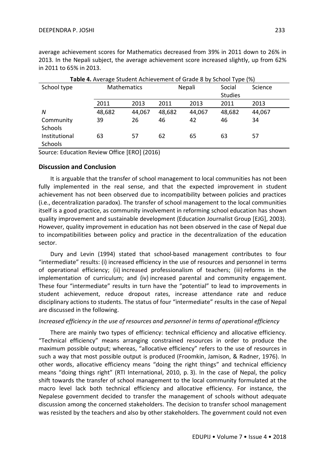average achievement scores for Mathematics decreased from 39% in 2011 down to 26% in 2013. In the Nepali subject, the average achievement score increased slightly, up from 62% in 2011 to 65% in 2013.

| Table 4. Average Student Achievement of Grade 8 by School Type (%) |        |                              |        |        |                |        |  |
|--------------------------------------------------------------------|--------|------------------------------|--------|--------|----------------|--------|--|
| School type                                                        |        | <b>Mathematics</b><br>Nepali |        | Social | Science        |        |  |
|                                                                    |        |                              |        |        | <b>Studies</b> |        |  |
|                                                                    | 2011   | 2013                         | 2011   | 2013   | 2011           | 2013   |  |
| N                                                                  | 48,682 | 44,067                       | 48,682 | 44,067 | 48,682         | 44,067 |  |
| Community                                                          | 39     | 26                           | 46     | 42     | 46             | 34     |  |
| Schools                                                            |        |                              |        |        |                |        |  |
| Institutional                                                      | 63     | 57                           | 62     | 65     | 63             | 57     |  |
| <b>Schools</b>                                                     |        |                              |        |        |                |        |  |

Source: Education Review Office [ERO] (2016)

## **Discussion and Conclusion**

It is arguable that the transfer of school management to local communities has not been fully implemented in the real sense, and that the expected improvement in student achievement has not been observed due to incompatibility between policies and practices (i.e., decentralization paradox). The transfer of school management to the local communities itself is a good practice, as community involvement in reforming school education has shown quality improvement and sustainable development (Education Journalist Group [EJG], 2003). However, quality improvement in education has not been observed in the case of Nepal due to incompatibilities between policy and practice in the decentralization of the education sector.

Dury and Levin (1994) stated that school-based management contributes to four "intermediate" results: (i) increased efficiency in the use of resources and personnel in terms of operational efficiency; (ii) increased professionalism of teachers; (iii) reforms in the implementation of curriculum; and (iv) increased parental and community engagement. These four "intermediate" results in turn have the "potential" to lead to improvements in student achievement, reduce dropout rates, increase attendance rate and reduce disciplinary actions to students. The status of four "intermediate" results in the case of Nepal are discussed in the following.

## *Increased efficiency in the use of resources and personnel in terms of operational efficiency*

There are mainly two types of efficiency: technical efficiency and allocative efficiency. "Technical efficiency" means arranging constrained resources in order to produce the maximum possible output; whereas, "allocative efficiency" refers to the use of resources in such a way that most possible output is produced (Froomkin, Jamison, & Radner, 1976). In other words, allocative efficiency means "doing the right things" and technical efficiency means "doing things right" (RTI International, 2010, p. 3). In the case of Nepal, the policy shift towards the transfer of school management to the local community formulated at the macro level lack both technical efficiency and allocative efficiency. For instance, the Nepalese government decided to transfer the management of schools without adequate discussion among the concerned stakeholders. The decision to transfer school management was resisted by the teachers and also by other stakeholders. The government could not even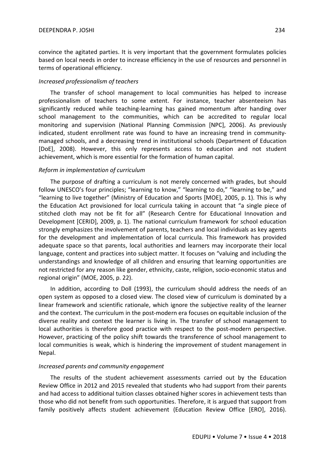convince the agitated parties. It is very important that the government formulates policies based on local needs in order to increase efficiency in the use of resources and personnel in terms of operational efficiency.

#### *Increased professionalism of teachers*

The transfer of school management to local communities has helped to increase professionalism of teachers to some extent. For instance, teacher absenteeism has significantly reduced while teaching-learning has gained momentum after handing over school management to the communities, which can be accredited to regular local monitoring and supervision (National Planning Commission [NPC], 2006). As previously indicated, student enrollment rate was found to have an increasing trend in communitymanaged schools, and a decreasing trend in institutional schools (Department of Education [DoE], 2008). However, this only represents access to education and not student achievement, which is more essential for the formation of human capital.

#### *Reform in implementation of curriculum*

The purpose of drafting a curriculum is not merely concerned with grades, but should follow UNESCO's four principles; "learning to know," "learning to do," "learning to be," and "learning to live together" (Ministry of Education and Sports [MOE], 2005, p. 1). This is why the Education Act provisioned for local curricula taking in account that "a single piece of stitched cloth may not be fit for all" (Research Centre for Educational Innovation and Development [CERID], 2009, p. 1). The national curriculum framework for school education strongly emphasizes the involvement of parents, teachers and local individuals as key agents for the development and implementation of local curricula. This framework has provided adequate space so that parents, local authorities and learners may incorporate their local language, content and practices into subject matter. It focuses on "valuing and including the understandings and knowledge of all children and ensuring that learning opportunities are not restricted for any reason like gender, ethnicity, caste, religion, socio-economic status and regional origin" (MOE, 2005, p. 22).

In addition, according to Doll (1993), the curriculum should address the needs of an open system as opposed to a closed view. The closed view of curriculum is dominated by a linear framework and scientific rationale, which ignore the subjective reality of the learner and the context. The curriculum in the post-modern era focuses on equitable inclusion of the diverse reality and context the learner is living in. The transfer of school management to local authorities is therefore good practice with respect to the post-modern perspective. However, practicing of the policy shift towards the transference of school management to local communities is weak, which is hindering the improvement of student management in Nepal.

#### *Increased parents and community engagement*

The results of the student achievement assessments carried out by the Education Review Office in 2012 and 2015 revealed that students who had support from their parents and had access to additional tuition classes obtained higher scores in achievement tests than those who did not benefit from such opportunities. Therefore, it is argued that support from family positively affects student achievement (Education Review Office [ERO], 2016).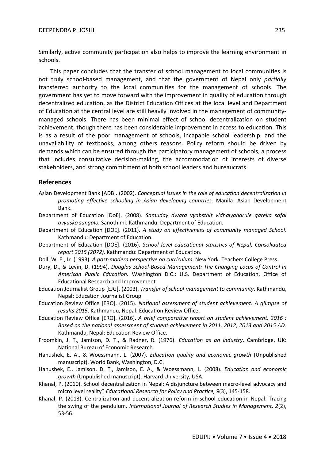Similarly, active community participation also helps to improve the learning environment in schools.

This paper concludes that the transfer of school management to local communities is not truly school-based management, and that the government of Nepal only *partially* transferred authority to the local communities for the management of schools. The government has yet to move forward with the improvement in quality of education through decentralized education, as the District Education Offices at the local level and Department of Education at the central level are still heavily involved in the management of communitymanaged schools. There has been minimal effect of school decentralization on student achievement, though there has been considerable improvement in access to education. This is as a result of the poor management of schools, incapable school leadership, and the unavailability of textbooks, among others reasons. Policy reform should be driven by demands which can be ensured through the participatory management of schools, a process that includes consultative decision-making, the accommodation of interests of diverse stakeholders, and strong commitment of both school leaders and bureaucrats.

## **References**

- Asian Development Bank [ADB]. (2002). *Conceptual issues in the role of education decentralization in promoting effective schooling in Asian developing countries*. Manila: Asian Development Bank.
- Department of Education [DoE]. (2008). *Samuday dwara vyabsthit vidhalyaharule gareka safal avyasko sangalo.* Sanothimi. Kathmandu: Department of Education.
- Department of Education [DOE]. (2011). *A study on effectiveness of community managed School*. Kathmandu: Department of Education.
- Department of Education [DOE]. (2016). *School level educational statistics of Nepal, Consolidated report 2015 (2072).* Kathmandu: Department of Education.
- Doll, W. E., Jr. (1993). *A post-modern perspective on curriculum*. New York. Teachers College Press.
- Dury, D., & Levin, D. (1994). *Douglas School-Based Management: The Changing Locus of Control in American Public Education*. Washington D.C.: U.S. Department of Education, Office of Educational Research and Improvement.
- Education Journalist Group [EJG]. (2003). *Transfer of school management to community*. Kathmandu, Nepal: Education Journalist Group.
- Education Review Office [ERO]. (2015). *National assessment of student achievement: A glimpse of results 2015*. Kathmandu, Nepal: Education Review Office.
- Education Review Office [ERO]. (2016). *A brief comparative report on student achievement, 2016 : Based on the national assessment of student achievement in 2011, 2012, 2013 and 2015 AD.*  Kathmandu, Nepal: Education Review Office.
- Froomkin, J. T., Jamison, D. T., & Radner, R. (1976). *Education as an industry*. Cambridge, UK: National Bureau of Economic Research.
- Hanushek, E. A., & Woessmann, L. (2007). *Education quality and economic growth* (Unpublished manuscript). World Bank, Washington, D.C.
- Hanushek, E., Jamison, D. T., Jamison, E. A., & Woessmann, L. (2008). *Education and economic growth* (Unpublished manuscript). Harvard University, USA.
- Khanal, P. (2010). School decentralization in Nepal: A disjuncture between macro-level advocacy and micro level reality? *Educational Research for Policy and Practice, 9*(3), 145-158.
- Khanal, P. (2013). Centralization and decentralization reform in school education in Nepal: Tracing the swing of the pendulum. *International Journal of Research Studies in Management, 2*(2), 53-56.